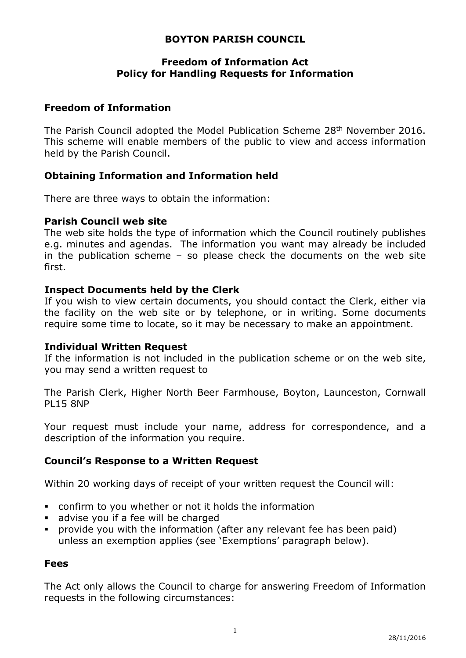# BOYTON PARISH COUNCIL

### Freedom of Information Act Policy for Handling Requests for Information

## Freedom of Information

The Parish Council adopted the Model Publication Scheme 28th November 2016. This scheme will enable members of the public to view and access information held by the Parish Council.

## Obtaining Information and Information held

There are three ways to obtain the information:

#### Parish Council web site

The web site holds the type of information which the Council routinely publishes e.g. minutes and agendas. The information you want may already be included in the publication scheme – so please check the documents on the web site first.

### Inspect Documents held by the Clerk

If you wish to view certain documents, you should contact the Clerk, either via the facility on the web site or by telephone, or in writing. Some documents require some time to locate, so it may be necessary to make an appointment.

#### Individual Written Request

If the information is not included in the publication scheme or on the web site, you may send a written request to

The Parish Clerk, Higher North Beer Farmhouse, Boyton, Launceston, Cornwall PL15 8NP

Your request must include your name, address for correspondence, and a description of the information you require.

## Council's Response to a Written Request

Within 20 working days of receipt of your written request the Council will:

- confirm to you whether or not it holds the information
- advise you if a fee will be charged
- provide you with the information (after any relevant fee has been paid) unless an exemption applies (see 'Exemptions' paragraph below).

#### Fees

The Act only allows the Council to charge for answering Freedom of Information requests in the following circumstances: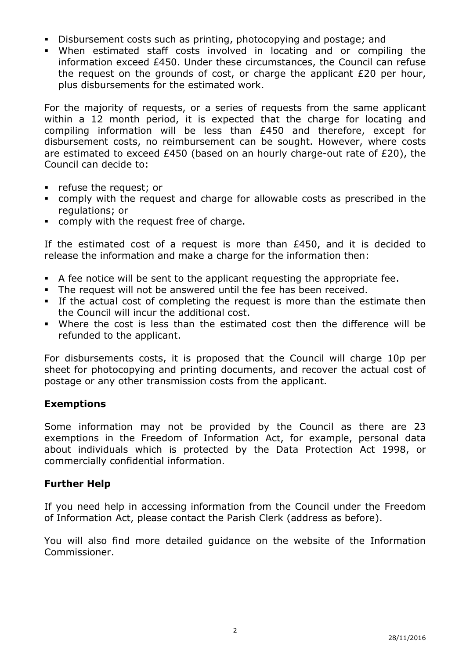- Disbursement costs such as printing, photocopying and postage; and
- When estimated staff costs involved in locating and or compiling the information exceed £450. Under these circumstances, the Council can refuse the request on the grounds of cost, or charge the applicant £20 per hour, plus disbursements for the estimated work.

For the majority of requests, or a series of requests from the same applicant within a 12 month period, it is expected that the charge for locating and compiling information will be less than £450 and therefore, except for disbursement costs, no reimbursement can be sought. However, where costs are estimated to exceed £450 (based on an hourly charge-out rate of £20), the Council can decide to:

- **•** refuse the request; or
- comply with the request and charge for allowable costs as prescribed in the regulations; or
- comply with the request free of charge.

If the estimated cost of a request is more than £450, and it is decided to release the information and make a charge for the information then:

- A fee notice will be sent to the applicant requesting the appropriate fee.
- The request will not be answered until the fee has been received.
- If the actual cost of completing the request is more than the estimate then the Council will incur the additional cost.
- Where the cost is less than the estimated cost then the difference will be refunded to the applicant.

For disbursements costs, it is proposed that the Council will charge 10p per sheet for photocopying and printing documents, and recover the actual cost of postage or any other transmission costs from the applicant.

## Exemptions

Some information may not be provided by the Council as there are 23 exemptions in the Freedom of Information Act, for example, personal data about individuals which is protected by the Data Protection Act 1998, or commercially confidential information.

## Further Help

If you need help in accessing information from the Council under the Freedom of Information Act, please contact the Parish Clerk (address as before).

You will also find more detailed guidance on the website of the Information Commissioner.